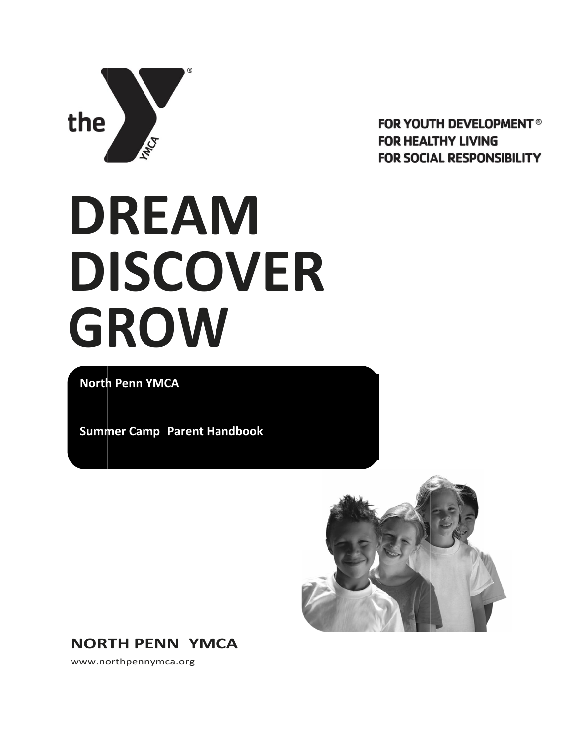

**FOR YOUTH DEVELOPMENT<sup>®</sup> FOR HEALTHY LIVING FOR SOCIAL RESPONSIBILITY** 

# **DREAM DISCOVER GROW**

**North Penn YMCA**

**Summer Camp Parent Handbook**



**NORTH PENN YMCA**

[www.northpennymca.org](http://www.northpennymca.org/)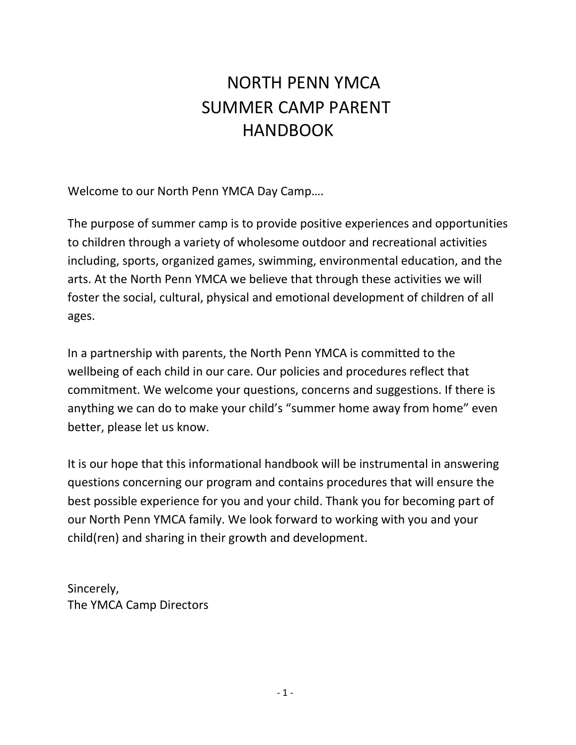# NORTH PENN YMCA SUMMER CAMP PARENT **HANDBOOK**

Welcome to our North Penn YMCA Day Camp….

The purpose of summer camp is to provide positive experiences and opportunities to children through a variety of wholesome outdoor and recreational activities including, sports, organized games, swimming, environmental education, and the arts. At the North Penn YMCA we believe that through these activities we will foster the social, cultural, physical and emotional development of children of all ages.

In a partnership with parents, the North Penn YMCA is committed to the wellbeing of each child in our care. Our policies and procedures reflect that commitment. We welcome your questions, concerns and suggestions. If there is anything we can do to make your child's "summer home away from home" even better, please let us know.

It is our hope that this informational handbook will be instrumental in answering questions concerning our program and contains procedures that will ensure the best possible experience for you and your child. Thank you for becoming part of our North Penn YMCA family. We look forward to working with you and your child(ren) and sharing in their growth and development.

Sincerely, The YMCA Camp Directors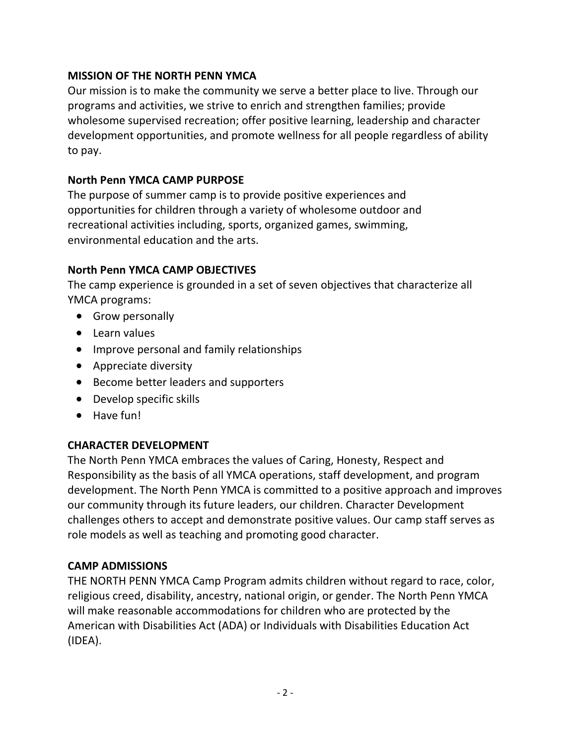#### **MISSION OF THE NORTH PENN YMCA**

Our mission is to make the community we serve a better place to live. Through our programs and activities, we strive to enrich and strengthen families; provide wholesome supervised recreation; offer positive learning, leadership and character development opportunities, and promote wellness for all people regardless of ability to pay.

#### **North Penn YMCA CAMP PURPOSE**

The purpose of summer camp is to provide positive experiences and opportunities for children through a variety of wholesome outdoor and recreational activities including, sports, organized games, swimming, environmental education and the arts.

#### **North Penn YMCA CAMP OBJECTIVES**

The camp experience is grounded in a set of seven objectives that characterize all YMCA programs:

- Grow personally
- Learn values
- Improve personal and family relationships
- Appreciate diversity
- Become better leaders and supporters
- Develop specific skills
- Have fun!

### **CHARACTER DEVELOPMENT**

The North Penn YMCA embraces the values of Caring, Honesty, Respect and Responsibility as the basis of all YMCA operations, staff development, and program development. The North Penn YMCA is committed to a positive approach and improves our community through its future leaders, our children. Character Development challenges others to accept and demonstrate positive values. Our camp staff serves as role models as well as teaching and promoting good character.

### **CAMP ADMISSIONS**

THE NORTH PENN YMCA Camp Program admits children without regard to race, color, religious creed, disability, ancestry, national origin, or gender. The North Penn YMCA will make reasonable accommodations for children who are protected by the American with Disabilities Act (ADA) or Individuals with Disabilities Education Act (IDEA).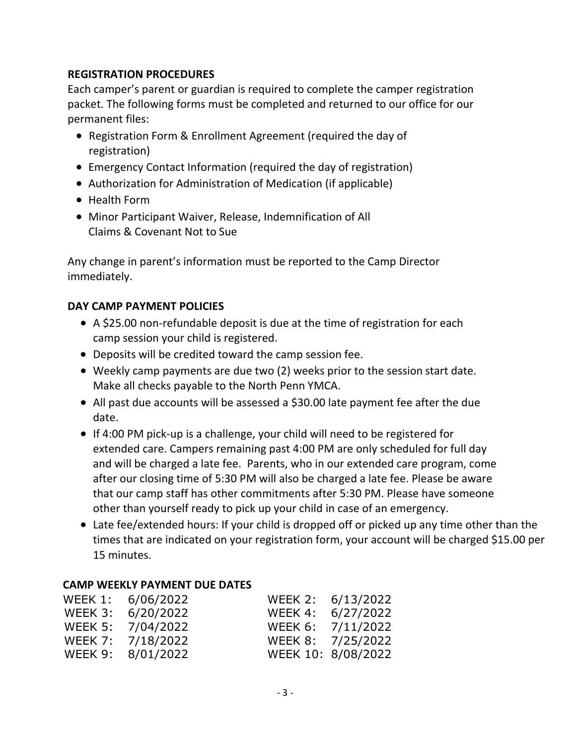#### **REGISTRATION PROCEDURES**

Each camper's parent or guardian is required to complete the camper registration packet. The following forms must be completed and returned to our office for our permanent files:

- Registration Form & Enrollment Agreement (required the day of registration)
- Emergency Contact Information (required the day of registration)
- Authorization for Administration of Medication (if applicable)
- Health Form
- Minor Participant Waiver, Release, Indemnification of All Claims & Covenant Not to Sue

Any change in parent's information must be reported to the Camp Director immediately.

### **DAY CAMP PAYMENT POLICIES**

- A \$25.00 non-refundable deposit is due at the time of registration for each camp session your child is registered.
- Deposits will be credited toward the camp session fee.
- Weekly camp payments are due two (2) weeks prior to the session start date. Make all checks payable to the North Penn YMCA.
- All past due accounts will be assessed a \$30.00 late payment fee after the due date.
- If 4:00 PM pick-up is a challenge, your child will need to be registered for extended care. Campers remaining past 4:00 PM are only scheduled for full day and will be charged a late fee. Parents, who in our extended care program, come after our closing time of 5:30 PM will also be charged a late fee. Please be aware that our camp staff has other commitments after 5:30 PM. Please have someone other than yourself ready to pick up your child in case of an emergency.
- Late fee/extended hours: If your child is dropped off or picked up any time other than the times that are indicated on your registration form, your account will be charged \$15.00 per 15 minutes.

#### **CAMP WEEKLY PAYMENT DUE DATES**

| WEEK 1: 6/06/2022 | WEEK 2: 6/13/2022  |
|-------------------|--------------------|
| WEEK 3: 6/20/2022 | WEEK 4: 6/27/2022  |
| WEEK 5: 7/04/2022 | WEEK 6: 7/11/2022  |
| WEEK 7: 7/18/2022 | WEEK 8: 7/25/2022  |
| WEEK 9: 8/01/2022 | WEEK 10: 8/08/2022 |
|                   |                    |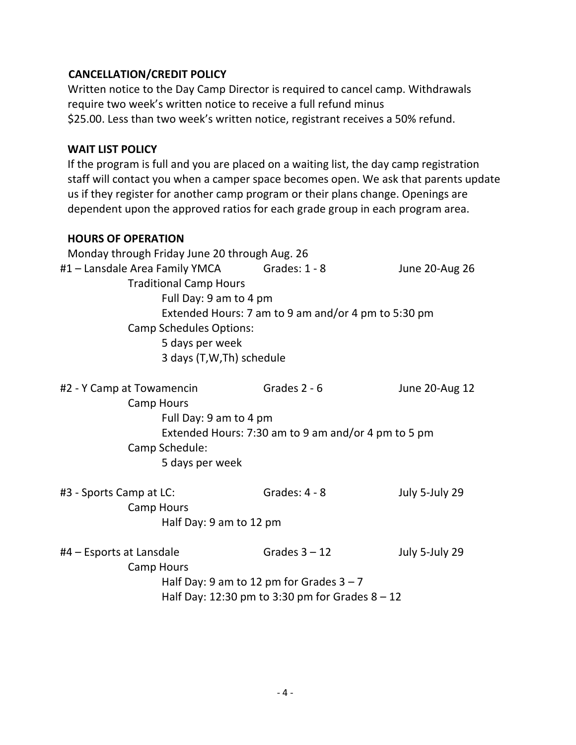# **CANCELLATION/CREDIT POLICY**

Written notice to the Day Camp Director is required to cancel camp. Withdrawals require two week's written notice to receive a full refund minus \$25.00. Less than two week's written notice, registrant receives a 50% refund.

#### **WAIT LIST POLICY**

If the program is full and you are placed on a waiting list, the day camp registration staff will contact you when a camper space becomes open. We ask that parents update us if they register for another camp program or their plans change. Openings are dependent upon the approved ratios for each grade group in each program area.

#### **HOURS OF OPERATION**

| Monday through Friday June 20 through Aug. 26       |               |                |  |  |  |  |
|-----------------------------------------------------|---------------|----------------|--|--|--|--|
| #1 – Lansdale Area Family YMCA                      | Grades: 1 - 8 | June 20-Aug 26 |  |  |  |  |
| <b>Traditional Camp Hours</b>                       |               |                |  |  |  |  |
| Full Day: 9 am to 4 pm                              |               |                |  |  |  |  |
| Extended Hours: 7 am to 9 am and/or 4 pm to 5:30 pm |               |                |  |  |  |  |
| <b>Camp Schedules Options:</b>                      |               |                |  |  |  |  |
| 5 days per week                                     |               |                |  |  |  |  |
| 3 days (T, W, Th) schedule                          |               |                |  |  |  |  |
| #2 - Y Camp at Towamencin                           | Grades 2 - 6  | June 20-Aug 12 |  |  |  |  |

| Camp Hours                                          |  |
|-----------------------------------------------------|--|
| Full Day: 9 am to 4 pm                              |  |
| Extended Hours: 7:30 am to 9 am and/or 4 pm to 5 pm |  |
| Camp Schedule:                                      |  |
| 5 days per week                                     |  |
|                                                     |  |

| #3 - Sports Camp at LC: | Grades: $4 - 8$ | July 5-July 29 |
|-------------------------|-----------------|----------------|
| Camp Hours              |                 |                |
| Half Day: 9 am to 12 pm |                 |                |

| #4 – Esports at Lansdale | Grades $3 - 12$                                   | July 5-July 29 |
|--------------------------|---------------------------------------------------|----------------|
| Camp Hours               |                                                   |                |
|                          | Half Day: 9 am to 12 pm for Grades $3 - 7$        |                |
|                          | Half Day: 12:30 pm to 3:30 pm for Grades $8 - 12$ |                |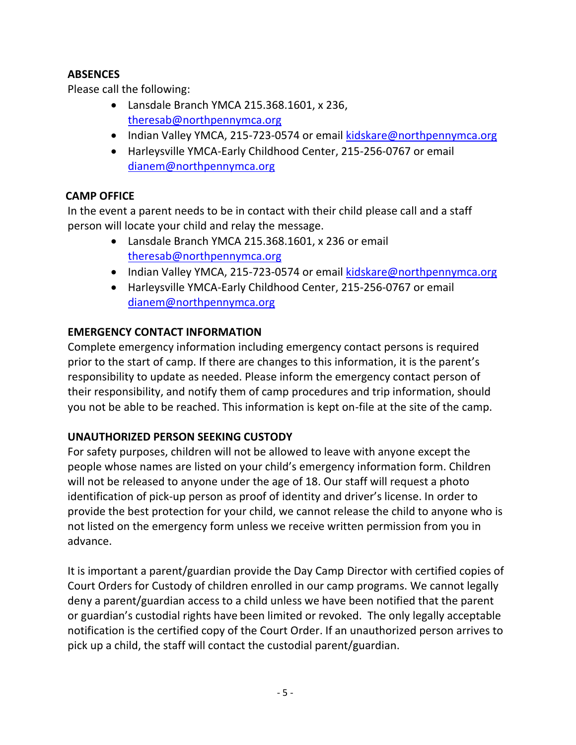# **ABSENCES**

Please call the following:

- Lansdale Branch YMCA 215.368.1601, x 236, [theresab@northpennymca.org](mailto:theresab@northpennymca.org)
- Indian Valley YMCA, 215-723-0574 or email [kidskare@northpennymca.org](mailto:kidskare@northpennymca.org)
- Harleysville YMCA-Early Childhood Center, 215-256-0767 or email [dianem@northpennymca.org](mailto:dianem@northpennymca.org)

# **CAMP OFFICE**

In the event a parent needs to be in contact with their child please call and a staff person will locate your child and relay the message.

- Lansdale Branch YMCA 215.368.1601, x 236 or email [theresab@northpennymca.org](mailto:theresab@northpennymca.org)
- Indian Valley YMCA, 215-723-0574 or email [kidskare@northpennymca.org](mailto:kidskare@northpennymca.org)
- Harleysville YMCA-Early Childhood Center, 215-256-0767 or email [dianem@northpennymca.org](mailto:dianem@northpennymca.org)

# **EMERGENCY CONTACT INFORMATION**

Complete emergency information including emergency contact persons is required prior to the start of camp. If there are changes to this information, it is the parent's responsibility to update as needed. Please inform the emergency contact person of their responsibility, and notify them of camp procedures and trip information, should you not be able to be reached. This information is kept on-file at the site of the camp.

### **UNAUTHORIZED PERSON SEEKING CUSTODY**

For safety purposes, children will not be allowed to leave with anyone except the people whose names are listed on your child's emergency information form. Children will not be released to anyone under the age of 18. Our staff will request a photo identification of pick-up person as proof of identity and driver's license. In order to provide the best protection for your child, we cannot release the child to anyone who is not listed on the emergency form unless we receive written permission from you in advance.

It is important a parent/guardian provide the Day Camp Director with certified copies of Court Orders for Custody of children enrolled in our camp programs. We cannot legally deny a parent/guardian access to a child unless we have been notified that the parent or guardian's custodial rights have been limited or revoked. The only legally acceptable notification is the certified copy of the Court Order. If an unauthorized person arrives to pick up a child, the staff will contact the custodial parent/guardian.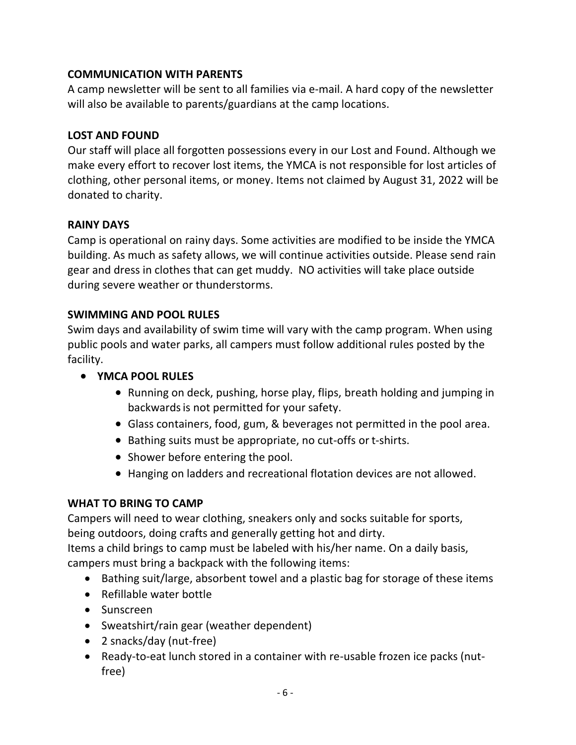#### **COMMUNICATION WITH PARENTS**

A camp newsletter will be sent to all families via e-mail. A hard copy of the newsletter will also be available to parents/guardians at the camp locations.

#### **LOST AND FOUND**

Our staff will place all forgotten possessions every in our Lost and Found. Although we make every effort to recover lost items, the YMCA is not responsible for lost articles of clothing, other personal items, or money. Items not claimed by August 31, 2022 will be donated to charity.

#### **RAINY DAYS**

Camp is operational on rainy days. Some activities are modified to be inside the YMCA building. As much as safety allows, we will continue activities outside. Please send rain gear and dress in clothes that can get muddy. NO activities will take place outside during severe weather or thunderstorms.

#### **SWIMMING AND POOL RULES**

Swim days and availability of swim time will vary with the camp program. When using public pools and water parks, all campers must follow additional rules posted by the facility.

- **YMCA POOL RULES**
	- Running on deck, pushing, horse play, flips, breath holding and jumping in backwards is not permitted for your safety.
	- Glass containers, food, gum, & beverages not permitted in the pool area.
	- Bathing suits must be appropriate, no cut-offs or t-shirts.
	- Shower before entering the pool.
	- Hanging on ladders and recreational flotation devices are not allowed.

#### **WHAT TO BRING TO CAMP**

Campers will need to wear clothing, sneakers only and socks suitable for sports, being outdoors, doing crafts and generally getting hot and dirty.

Items a child brings to camp must be labeled with his/her name. On a daily basis, campers must bring a backpack with the following items:

- Bathing suit/large, absorbent towel and a plastic bag for storage of these items
- Refillable water bottle
- Sunscreen
- Sweatshirt/rain gear (weather dependent)
- 2 snacks/day (nut-free)
- Ready-to-eat lunch stored in a container with re-usable frozen ice packs (nutfree)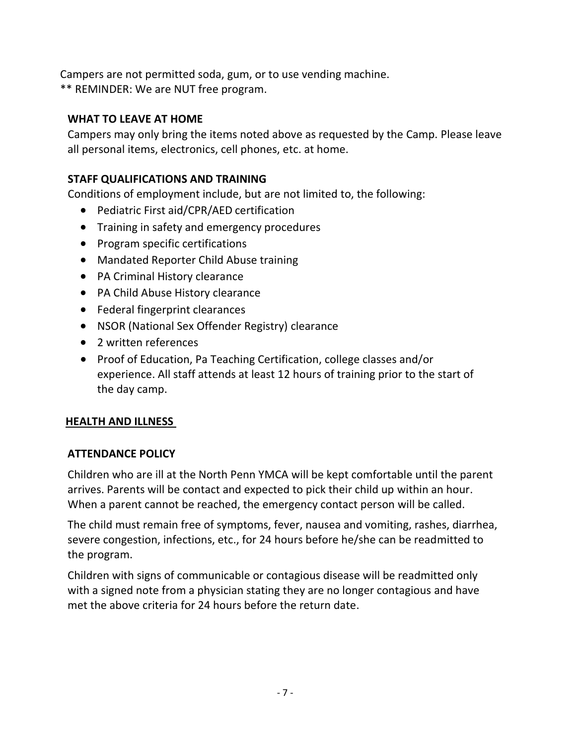Campers are not permitted soda, gum, or to use vending machine. \*\* REMINDER: We are NUT free program.

# **WHAT TO LEAVE AT HOME**

Campers may only bring the items noted above as requested by the Camp. Please leave all personal items, electronics, cell phones, etc. at home.

## **STAFF QUALIFICATIONS AND TRAINING**

Conditions of employment include, but are not limited to, the following:

- Pediatric First aid/CPR/AED certification
- Training in safety and emergency procedures
- Program specific certifications
- Mandated Reporter Child Abuse training
- PA Criminal History clearance
- PA Child Abuse History clearance
- Federal fingerprint clearances
- NSOR (National Sex Offender Registry) clearance
- 2 written references
- Proof of Education, Pa Teaching Certification, college classes and/or experience. All staff attends at least 12 hours of training prior to the start of the day camp.

# **HEALTH AND ILLNESS**

### **ATTENDANCE POLICY**

Children who are ill at the North Penn YMCA will be kept comfortable until the parent arrives. Parents will be contact and expected to pick their child up within an hour. When a parent cannot be reached, the emergency contact person will be called.

The child must remain free of symptoms, fever, nausea and vomiting, rashes, diarrhea, severe congestion, infections, etc., for 24 hours before he/she can be readmitted to the program.

Children with signs of communicable or contagious disease will be readmitted only with a signed note from a physician stating they are no longer contagious and have met the above criteria for 24 hours before the return date.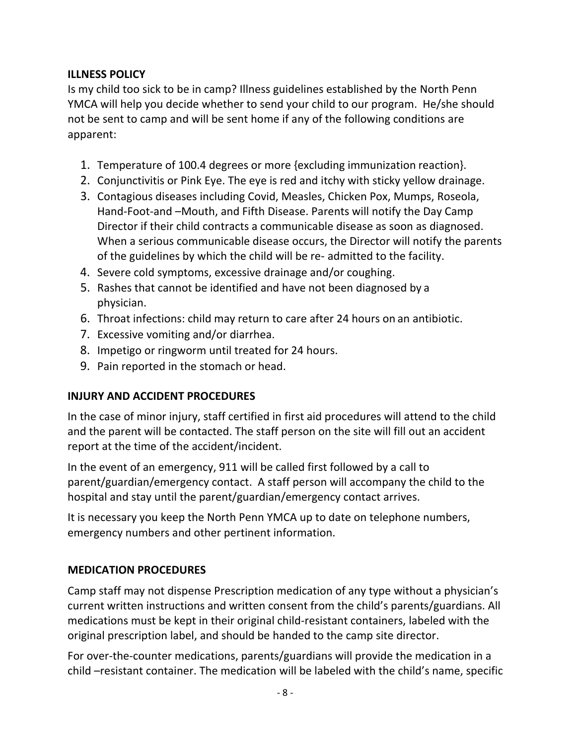#### **ILLNESS POLICY**

Is my child too sick to be in camp? Illness guidelines established by the North Penn YMCA will help you decide whether to send your child to our program. He/she should not be sent to camp and will be sent home if any of the following conditions are apparent:

- 1. Temperature of 100.4 degrees or more {excluding immunization reaction}.
- 2. Conjunctivitis or Pink Eye. The eye is red and itchy with sticky yellow drainage.
- 3. Contagious diseases including Covid, Measles, Chicken Pox, Mumps, Roseola, Hand-Foot-and –Mouth, and Fifth Disease. Parents will notify the Day Camp Director if their child contracts a communicable disease as soon as diagnosed. When a serious communicable disease occurs, the Director will notify the parents of the guidelines by which the child will be re- admitted to the facility.
- 4. Severe cold symptoms, excessive drainage and/or coughing.
- 5. Rashes that cannot be identified and have not been diagnosed by a physician.
- 6. Throat infections: child may return to care after 24 hours on an antibiotic.
- 7. Excessive vomiting and/or diarrhea.
- 8. Impetigo or ringworm until treated for 24 hours.
- 9. Pain reported in the stomach or head.

# **INJURY AND ACCIDENT PROCEDURES**

In the case of minor injury, staff certified in first aid procedures will attend to the child and the parent will be contacted. The staff person on the site will fill out an accident report at the time of the accident/incident.

In the event of an emergency, 911 will be called first followed by a call to parent/guardian/emergency contact. A staff person will accompany the child to the hospital and stay until the parent/guardian/emergency contact arrives.

It is necessary you keep the North Penn YMCA up to date on telephone numbers, emergency numbers and other pertinent information.

# **MEDICATION PROCEDURES**

Camp staff may not dispense Prescription medication of any type without a physician's current written instructions and written consent from the child's parents/guardians. All medications must be kept in their original child-resistant containers, labeled with the original prescription label, and should be handed to the camp site director.

For over-the-counter medications, parents/guardians will provide the medication in a child –resistant container. The medication will be labeled with the child's name, specific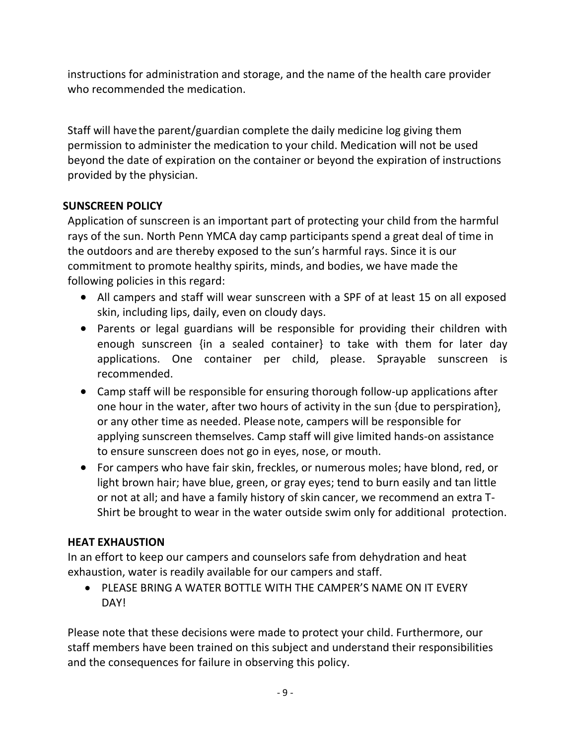instructions for administration and storage, and the name of the health care provider who recommended the medication.

Staff will have the parent/guardian complete the daily medicine log giving them permission to administer the medication to your child. Medication will not be used beyond the date of expiration on the container or beyond the expiration of instructions provided by the physician.

### **SUNSCREEN POLICY**

Application of sunscreen is an important part of protecting your child from the harmful rays of the sun. North Penn YMCA day camp participants spend a great deal of time in the outdoors and are thereby exposed to the sun's harmful rays. Since it is our commitment to promote healthy spirits, minds, and bodies, we have made the following policies in this regard:

- All campers and staff will wear sunscreen with a SPF of at least 15 on all exposed skin, including lips, daily, even on cloudy days.
- Parents or legal guardians will be responsible for providing their children with enough sunscreen {in a sealed container} to take with them for later day applications. One container per child, please. Sprayable sunscreen is recommended.
- Camp staff will be responsible for ensuring thorough follow-up applications after one hour in the water, after two hours of activity in the sun {due to perspiration}, or any other time as needed. Please note, campers will be responsible for applying sunscreen themselves. Camp staff will give limited hands-on assistance to ensure sunscreen does not go in eyes, nose, or mouth.
- For campers who have fair skin, freckles, or numerous moles; have blond, red, or light brown hair; have blue, green, or gray eyes; tend to burn easily and tan little or not at all; and have a family history of skin cancer, we recommend an extra T-Shirt be brought to wear in the water outside swim only for additional protection.

### **HEAT EXHAUSTION**

In an effort to keep our campers and counselors safe from dehydration and heat exhaustion, water is readily available for our campers and staff.

• PLEASE BRING A WATER BOTTLE WITH THE CAMPER'S NAME ON IT EVERY DAY!

Please note that these decisions were made to protect your child. Furthermore, our staff members have been trained on this subject and understand their responsibilities and the consequences for failure in observing this policy.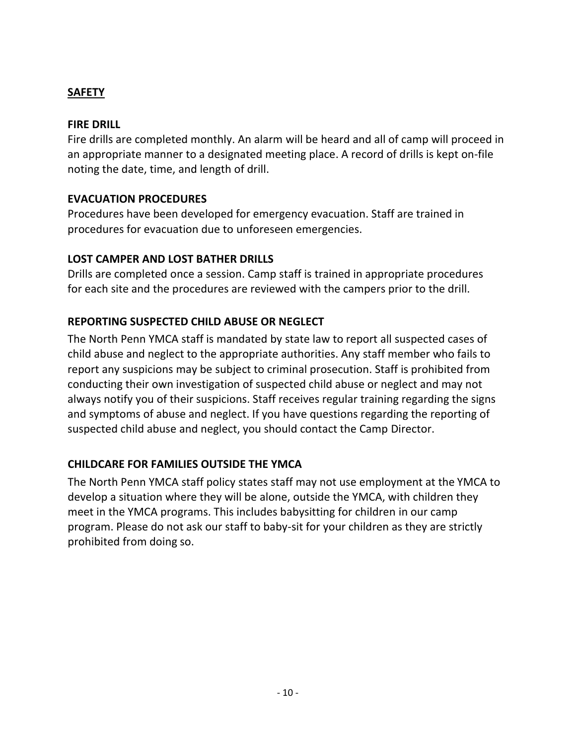### **SAFETY**

#### **FIRE DRILL**

Fire drills are completed monthly. An alarm will be heard and all of camp will proceed in an appropriate manner to a designated meeting place. A record of drills is kept on-file noting the date, time, and length of drill.

#### **EVACUATION PROCEDURES**

Procedures have been developed for emergency evacuation. Staff are trained in procedures for evacuation due to unforeseen emergencies.

#### **LOST CAMPER AND LOST BATHER DRILLS**

Drills are completed once a session. Camp staff is trained in appropriate procedures for each site and the procedures are reviewed with the campers prior to the drill.

### **REPORTING SUSPECTED CHILD ABUSE OR NEGLECT**

The North Penn YMCA staff is mandated by state law to report all suspected cases of child abuse and neglect to the appropriate authorities. Any staff member who fails to report any suspicions may be subject to criminal prosecution. Staff is prohibited from conducting their own investigation of suspected child abuse or neglect and may not always notify you of their suspicions. Staff receives regular training regarding the signs and symptoms of abuse and neglect. If you have questions regarding the reporting of suspected child abuse and neglect, you should contact the Camp Director.

### **CHILDCARE FOR FAMILIES OUTSIDE THE YMCA**

The North Penn YMCA staff policy states staff may not use employment at the YMCA to develop a situation where they will be alone, outside the YMCA, with children they meet in the YMCA programs. This includes babysitting for children in our camp program. Please do not ask our staff to baby-sit for your children as they are strictly prohibited from doing so.